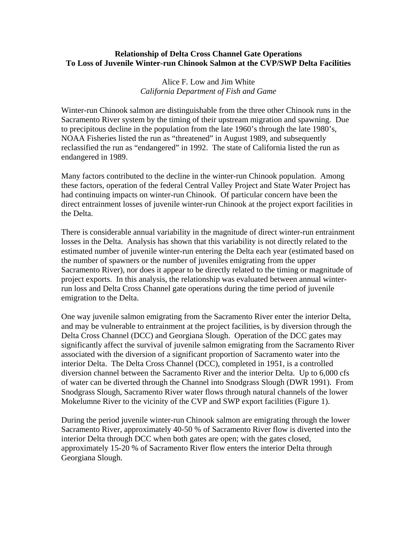## **Relationship of Delta Cross Channel Gate Operations To Loss of Juvenile Winter-run Chinook Salmon at the CVP/SWP Delta Facilities**

## Alice F. Low and Jim White *California Department of Fish and Game*

Winter-run Chinook salmon are distinguishable from the three other Chinook runs in the Sacramento River system by the timing of their upstream migration and spawning. Due to precipitous decline in the population from the late 1960's through the late 1980's, NOAA Fisheries listed the run as "threatened" in August 1989, and subsequently reclassified the run as "endangered" in 1992. The state of California listed the run as endangered in 1989.

Many factors contributed to the decline in the winter-run Chinook population. Among these factors, operation of the federal Central Valley Project and State Water Project has had continuing impacts on winter-run Chinook. Of particular concern have been the direct entrainment losses of juvenile winter-run Chinook at the project export facilities in the Delta.

There is considerable annual variability in the magnitude of direct winter-run entrainment losses in the Delta. Analysis has shown that this variability is not directly related to the estimated number of juvenile winter-run entering the Delta each year (estimated based on the number of spawners or the number of juveniles emigrating from the upper Sacramento River), nor does it appear to be directly related to the timing or magnitude of project exports. In this analysis, the relationship was evaluated between annual winterrun loss and Delta Cross Channel gate operations during the time period of juvenile emigration to the Delta.

One way juvenile salmon emigrating from the Sacramento River enter the interior Delta, and may be vulnerable to entrainment at the project facilities, is by diversion through the Delta Cross Channel (DCC) and Georgiana Slough. Operation of the DCC gates may significantly affect the survival of juvenile salmon emigrating from the Sacramento River associated with the diversion of a significant proportion of Sacramento water into the interior Delta. The Delta Cross Channel (DCC), completed in 1951, is a controlled diversion channel between the Sacramento River and the interior Delta. Up to 6,000 cfs of water can be diverted through the Channel into Snodgrass Slough (DWR 1991). From Snodgrass Slough, Sacramento River water flows through natural channels of the lower Mokelumne River to the vicinity of the CVP and SWP export facilities (Figure 1).

During the period juvenile winter-run Chinook salmon are emigrating through the lower Sacramento River, approximately 40-50 % of Sacramento River flow is diverted into the interior Delta through DCC when both gates are open; with the gates closed, approximately 15-20 % of Sacramento River flow enters the interior Delta through Georgiana Slough.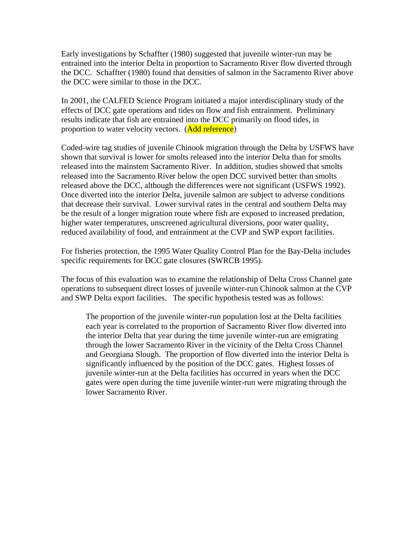Early investigations by Schaffter (1980) suggested that juvenile winter-run may be entrained into the interior Delta in proportion to Sacramento River flow diverted through the DCC. Schaffter (1980) found that densities of salmon in the Sacramento River above the DCC were similar to those in the DCC.

In 2001, the CALFED Science Program initiated a major interdisciplinary study of the effects of DCC gate operations and tides on flow and fish entrainment. Preliminary results indicate that fish are entrained into the DCC primarily on flood tides, in proportion to water velocity vectors. (Add reference)

Coded-wire tag studies of juvenile Chinook migration through the Delta by USFWS have shown that survival is lower for smolts released into the interior Delta than for smolts released into the mainstem Sacramento River. In addition, studies showed that smolts released into the Sacramento River below the open DCC survived better than smolts released above the DCC, although the differences were not significant (USFWS 1992). Once diverted into the interior Delta, juvenile salmon are subject to adverse conditions that decrease their survival. Lower survival rates in the central and southern Delta may be the result of a longer migration route where fish are exposed to increased predation, higher water temperatures, unscreened agricultural diversions, poor water quality, reduced availability of food, and entrainment at the CVP and SWP export facilities.

For fisheries protection, the 1995 Water Quality Control Plan for the Bay-Delta includes specific requirements for DCC gate closures (SWRCB 1995).

The focus of this evaluation was to examine the relationship of Delta Cross Channel gate operations to subsequent direct losses of juvenile winter-run Chinook salmon at the CVP and SWP Delta export facilities. The specific hypothesis tested was as follows:

The proportion of the juvenile winter-run population lost at the Delta facilities each year is correlated to the proportion of Sacramento River flow diverted into the interior Delta that year during the time juvenile winter-run are emigrating through the lower Sacramento River in the vicinity of the Delta Cross Channel and Georgiana Slough. The proportion of flow diverted into the interior Delta is significantly influenced by the position of the DCC gates. Highest losses of juvenile winter-run at the Delta facilities has occurred in years when the DCC gates were open during the time juvenile winter-run were migrating through the lower Sacramento River.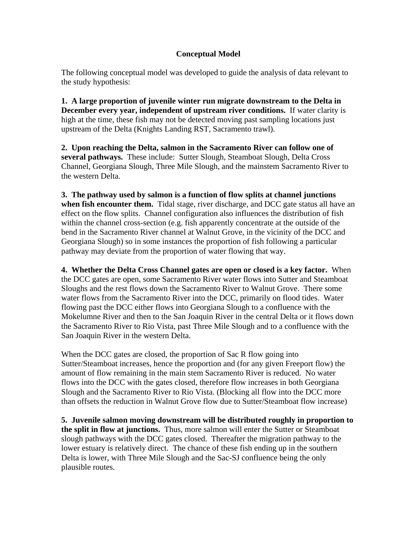## **Conceptual Model**

The following conceptual model was developed to guide the analysis of data relevant to the study hypothesis:

**1. A large proportion of juvenile winter run migrate downstream to the Delta in December every year, independent of upstream river conditions.** If water clarity is high at the time, these fish may not be detected moving past sampling locations just upstream of the Delta (Knights Landing RST, Sacramento trawl).

**2. Upon reaching the Delta, salmon in the Sacramento River can follow one of several pathways.** These include: Sutter Slough, Steamboat Slough, Delta Cross Channel, Georgiana Slough, Three Mile Slough, and the mainstem Sacramento River to the western Delta.

**3. The pathway used by salmon is a function of flow splits at channel junctions when fish encounter them.** Tidal stage, river discharge, and DCC gate status all have an effect on the flow splits. Channel configuration also influences the distribution of fish within the channel cross-section (e.g. fish apparently concentrate at the outside of the bend in the Sacramento River channel at Walnut Grove, in the vicinity of the DCC and Georgiana Slough) so in some instances the proportion of fish following a particular pathway may deviate from the proportion of water flowing that way.

**4. Whether the Delta Cross Channel gates are open or closed is a key factor.** When the DCC gates are open, some Sacramento River water flows into Sutter and Steamboat Sloughs and the rest flows down the Sacramento River to Walnut Grove. There some water flows from the Sacramento River into the DCC, primarily on flood tides. Water flowing past the DCC either flows into Georgiana Slough to a confluence with the Mokelumne River and then to the San Joaquin River in the central Delta or it flows down the Sacramento River to Rio Vista, past Three Mile Slough and to a confluence with the San Joaquin River in the western Delta.

When the DCC gates are closed, the proportion of Sac R flow going into Sutter/Steamboat increases, hence the proportion and (for any given Freeport flow) the amount of flow remaining in the main stem Sacramento River is reduced. No water flows into the DCC with the gates closed, therefore flow increases in both Georgiana Slough and the Sacramento River to Rio Vista. (Blocking all flow into the DCC more than offsets the reduction in Walnut Grove flow due to Sutter/Steamboat flow increase)

**5. Juvenile salmon moving downstream will be distributed roughly in proportion to the split in flow at junctions.** Thus, more salmon will enter the Sutter or Steamboat slough pathways with the DCC gates closed. Thereafter the migration pathway to the lower estuary is relatively direct. The chance of these fish ending up in the southern Delta is lower, with Three Mile Slough and the Sac-SJ confluence being the only plausible routes.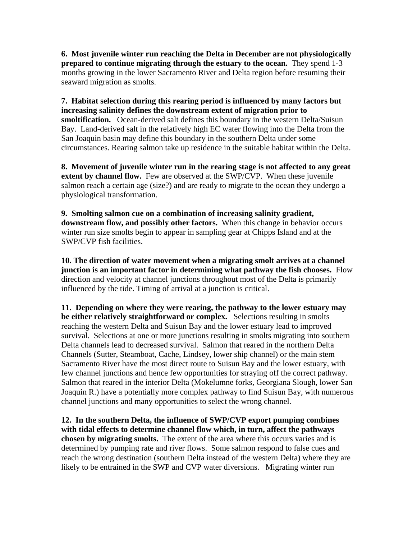**6. Most juvenile winter run reaching the Delta in December are not physiologically prepared to continue migrating through the estuary to the ocean.** They spend 1-3 months growing in the lower Sacramento River and Delta region before resuming their seaward migration as smolts.

**7. Habitat selection during this rearing period is influenced by many factors but increasing salinity defines the downstream extent of migration prior to smoltification.** Ocean-derived salt defines this boundary in the western Delta/Suisun Bay. Land-derived salt in the relatively high EC water flowing into the Delta from the San Joaquin basin may define this boundary in the southern Delta under some circumstances. Rearing salmon take up residence in the suitable habitat within the Delta.

**8. Movement of juvenile winter run in the rearing stage is not affected to any great extent by channel flow.** Few are observed at the SWP/CVP. When these juvenile salmon reach a certain age (size?) and are ready to migrate to the ocean they undergo a physiological transformation.

**9. Smolting salmon cue on a combination of increasing salinity gradient, downstream flow, and possibly other factors.** When this change in behavior occurs winter run size smolts begin to appear in sampling gear at Chipps Island and at the SWP/CVP fish facilities.

**10. The direction of water movement when a migrating smolt arrives at a channel junction is an important factor in determining what pathway the fish chooses.** Flow direction and velocity at channel junctions throughout most of the Delta is primarily influenced by the tide. Timing of arrival at a junction is critical.

**11. Depending on where they were rearing, the pathway to the lower estuary may be either relatively straightforward or complex.** Selections resulting in smolts reaching the western Delta and Suisun Bay and the lower estuary lead to improved survival. Selections at one or more junctions resulting in smolts migrating into southern Delta channels lead to decreased survival. Salmon that reared in the northern Delta Channels (Sutter, Steamboat, Cache, Lindsey, lower ship channel) or the main stem Sacramento River have the most direct route to Suisun Bay and the lower estuary, with few channel junctions and hence few opportunities for straying off the correct pathway. Salmon that reared in the interior Delta (Mokelumne forks, Georgiana Slough, lower San Joaquin R.) have a potentially more complex pathway to find Suisun Bay, with numerous channel junctions and many opportunities to select the wrong channel.

**12. In the southern Delta, the influence of SWP/CVP export pumping combines with tidal effects to determine channel flow which, in turn, affect the pathways chosen by migrating smolts.** The extent of the area where this occurs varies and is determined by pumping rate and river flows. Some salmon respond to false cues and reach the wrong destination (southern Delta instead of the western Delta) where they are likely to be entrained in the SWP and CVP water diversions. Migrating winter run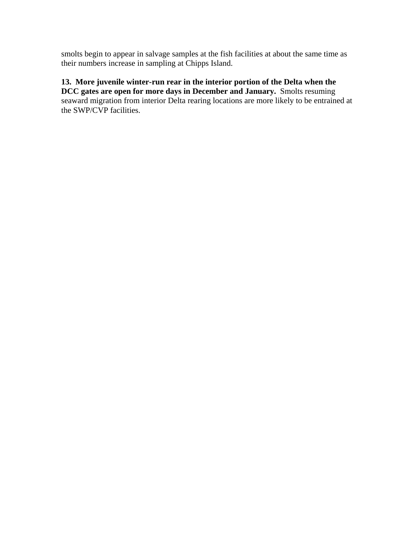smolts begin to appear in salvage samples at the fish facilities at about the same time as their numbers increase in sampling at Chipps Island.

# **13. More juvenile winter-run rear in the interior portion of the Delta when the**

**DCC gates are open for more days in December and January.** Smolts resuming seaward migration from interior Delta rearing locations are more likely to be entrained at the SWP/CVP facilities.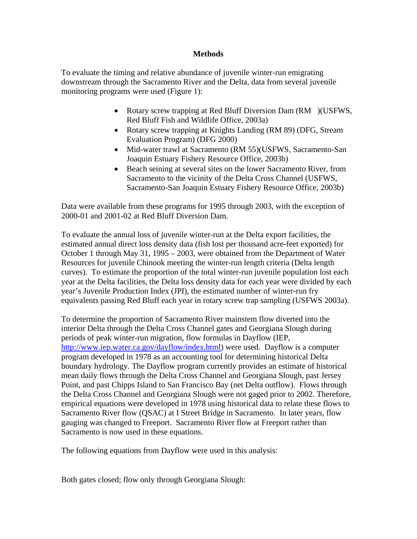## **Methods**

To evaluate the timing and relative abundance of juvenile winter-run emigrating downstream through the Sacramento River and the Delta, data from several juvenile monitoring programs were used (Figure 1):

- Rotary screw trapping at Red Bluff Diversion Dam (RM ) (USFWS, Red Bluff Fish and Wildlife Office, 2003a)
- Rotary screw trapping at Knights Landing (RM 89) (DFG, Stream Evaluation Program) (DFG 2000)
- Mid-water trawl at Sacramento (RM 55)(USFWS, Sacramento-San Joaquin Estuary Fishery Resource Office, 2003b)
- Beach seining at several sites on the lower Sacramento River, from Sacramento to the vicinity of the Delta Cross Channel (USFWS, Sacramento-San Joaquin Estuary Fishery Resource Office, 2003b)

Data were available from these programs for 1995 through 2003, with the exception of 2000-01 and 2001-02 at Red Bluff Diversion Dam.

To evaluate the annual loss of juvenile winter-run at the Delta export facilities, the estimated annual direct loss density data (fish lost per thousand acre-feet exported) for October 1 through May 31, 1995 – 2003, were obtained from the Department of Water Resources for juvenile Chinook meeting the winter-run length criteria (Delta length curves). To estimate the proportion of the total winter-run juvenile population lost each year at the Delta facilities, the Delta loss density data for each year were divided by each year's Juvenile Production Index (JPI), the estimated number of winter-run fry equivalents passing Red Bluff each year in rotary screw trap sampling (USFWS 2003a).

To determine the proportion of Sacramento River mainstem flow diverted into the interior Delta through the Delta Cross Channel gates and Georgiana Slough during periods of peak winter-run migration, flow formulas in Dayflow (IEP, <http://www.iep.water.ca.gov/dayflow/index.html>) were used. Dayflow is a computer program developed in 1978 as an accounting tool for determining historical Delta boundary hydrology. The Dayflow program currently provides an estimate of historical mean daily flows through the Delta Cross Channel and Georgiana Slough, past Jersey Point, and past Chipps Island to San Francisco Bay (net Delta outflow). Flows through the Delta Cross Channel and Georgiana Slough were not gaged prior to 2002. Therefore, empirical equations were developed in 1978 using historical data to relate these flows to Sacramento River flow (QSAC) at I Street Bridge in Sacramento. In later years, flow gauging was changed to Freeport. Sacramento River flow at Freeport rather than Sacramento is now used in these equations.

The following equations from Dayflow were used in this analysis:

Both gates closed; flow only through Georgiana Slough: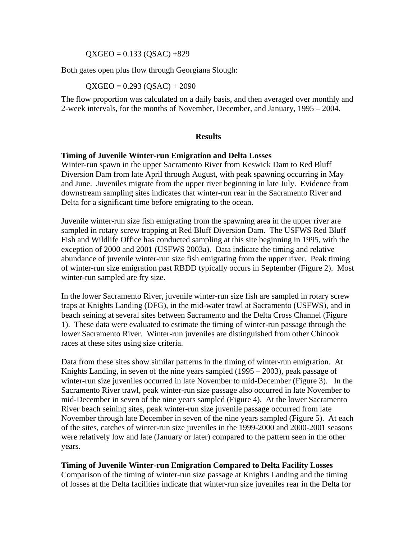$QXGEO = 0.133 (OSAC) +829$ 

Both gates open plus flow through Georgiana Slough:

$$
QXGEO = 0.293 (QSAC) + 2090
$$

The flow proportion was calculated on a daily basis, and then averaged over monthly and 2-week intervals, for the months of November, December, and January, 1995 – 2004.

#### **Results**

#### **Timing of Juvenile Winter-run Emigration and Delta Losses**

Winter-run spawn in the upper Sacramento River from Keswick Dam to Red Bluff Diversion Dam from late April through August, with peak spawning occurring in May and June. Juveniles migrate from the upper river beginning in late July. Evidence from downstream sampling sites indicates that winter-run rear in the Sacramento River and Delta for a significant time before emigrating to the ocean.

Juvenile winter-run size fish emigrating from the spawning area in the upper river are sampled in rotary screw trapping at Red Bluff Diversion Dam. The USFWS Red Bluff Fish and Wildlife Office has conducted sampling at this site beginning in 1995, with the exception of 2000 and 2001 (USFWS 2003a). Data indicate the timing and relative abundance of juvenile winter-run size fish emigrating from the upper river. Peak timing of winter-run size emigration past RBDD typically occurs in September (Figure 2). Most winter-run sampled are fry size.

In the lower Sacramento River, juvenile winter-run size fish are sampled in rotary screw traps at Knights Landing (DFG), in the mid-water trawl at Sacramento (USFWS), and in beach seining at several sites between Sacramento and the Delta Cross Channel (Figure 1). These data were evaluated to estimate the timing of winter-run passage through the lower Sacramento River. Winter-run juveniles are distinguished from other Chinook races at these sites using size criteria.

Data from these sites show similar patterns in the timing of winter-run emigration. At Knights Landing, in seven of the nine years sampled (1995 – 2003), peak passage of winter-run size juveniles occurred in late November to mid-December (Figure 3). In the Sacramento River trawl, peak winter-run size passage also occurred in late November to mid-December in seven of the nine years sampled (Figure 4). At the lower Sacramento River beach seining sites, peak winter-run size juvenile passage occurred from late November through late December in seven of the nine years sampled (Figure 5). At each of the sites, catches of winter-run size juveniles in the 1999-2000 and 2000-2001 seasons were relatively low and late (January or later) compared to the pattern seen in the other years.

#### **Timing of Juvenile Winter-run Emigration Compared to Delta Facility Losses**

Comparison of the timing of winter-run size passage at Knights Landing and the timing of losses at the Delta facilities indicate that winter-run size juveniles rear in the Delta for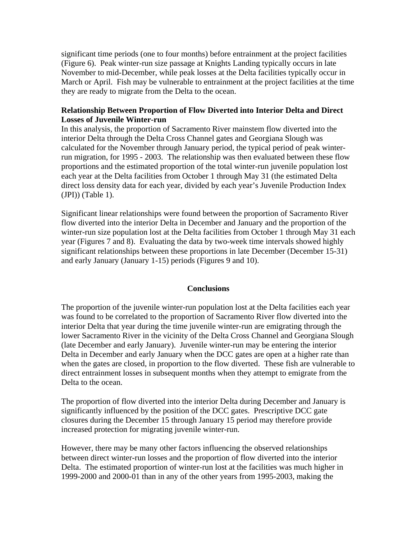significant time periods (one to four months) before entrainment at the project facilities (Figure 6). Peak winter-run size passage at Knights Landing typically occurs in late November to mid-December, while peak losses at the Delta facilities typically occur in March or April. Fish may be vulnerable to entrainment at the project facilities at the time they are ready to migrate from the Delta to the ocean.

## **Relationship Between Proportion of Flow Diverted into Interior Delta and Direct Losses of Juvenile Winter-run**

In this analysis, the proportion of Sacramento River mainstem flow diverted into the interior Delta through the Delta Cross Channel gates and Georgiana Slough was calculated for the November through January period, the typical period of peak winterrun migration, for 1995 - 2003. The relationship was then evaluated between these flow proportions and the estimated proportion of the total winter-run juvenile population lost each year at the Delta facilities from October 1 through May 31 (the estimated Delta direct loss density data for each year, divided by each year's Juvenile Production Index (JPI)) (Table 1).

Significant linear relationships were found between the proportion of Sacramento River flow diverted into the interior Delta in December and January and the proportion of the winter-run size population lost at the Delta facilities from October 1 through May 31 each year (Figures 7 and 8). Evaluating the data by two-week time intervals showed highly significant relationships between these proportions in late December (December 15-31) and early January (January 1-15) periods (Figures 9 and 10).

## **Conclusions**

The proportion of the juvenile winter-run population lost at the Delta facilities each year was found to be correlated to the proportion of Sacramento River flow diverted into the interior Delta that year during the time juvenile winter-run are emigrating through the lower Sacramento River in the vicinity of the Delta Cross Channel and Georgiana Slough (late December and early January). Juvenile winter-run may be entering the interior Delta in December and early January when the DCC gates are open at a higher rate than when the gates are closed, in proportion to the flow diverted. These fish are vulnerable to direct entrainment losses in subsequent months when they attempt to emigrate from the Delta to the ocean.

The proportion of flow diverted into the interior Delta during December and January is significantly influenced by the position of the DCC gates. Prescriptive DCC gate closures during the December 15 through January 15 period may therefore provide increased protection for migrating juvenile winter-run.

However, there may be many other factors influencing the observed relationships between direct winter-run losses and the proportion of flow diverted into the interior Delta. The estimated proportion of winter-run lost at the facilities was much higher in 1999-2000 and 2000-01 than in any of the other years from 1995-2003, making the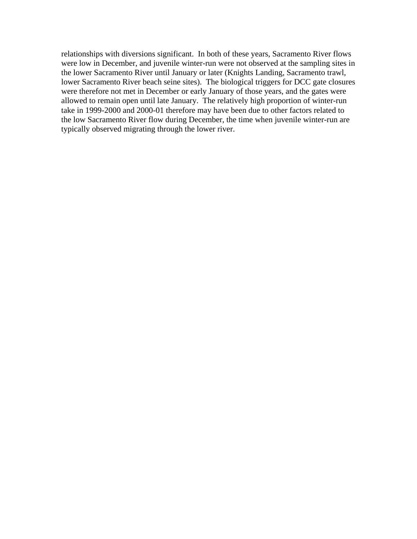relationships with diversions significant. In both of these years, Sacramento River flows were low in December, and juvenile winter-run were not observed at the sampling sites in the lower Sacramento River until January or later (Knights Landing, Sacramento trawl, lower Sacramento River beach seine sites). The biological triggers for DCC gate closures were therefore not met in December or early January of those years, and the gates were allowed to remain open until late January. The relatively high proportion of winter-run take in 1999-2000 and 2000-01 therefore may have been due to other factors related to the low Sacramento River flow during December, the time when juvenile winter-run are typically observed migrating through the lower river.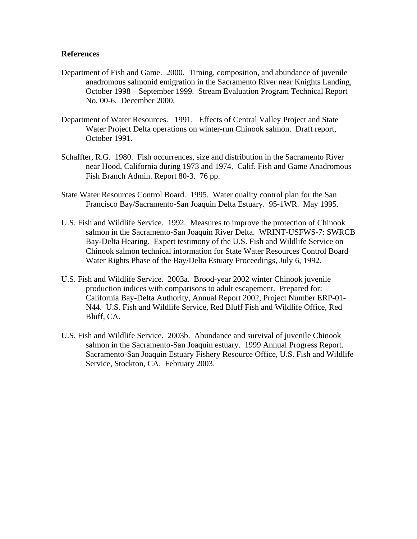#### **References**

- Department of Fish and Game. 2000. Timing, composition, and abundance of juvenile anadromous salmonid emigration in the Sacramento River near Knights Landing, October 1998 – September 1999. Stream Evaluation Program Technical Report No. 00-6, December 2000.
- Department of Water Resources. 1991. Effects of Central Valley Project and State Water Project Delta operations on winter-run Chinook salmon. Draft report, October 1991.
- Schaffter, R.G. 1980. Fish occurrences, size and distribution in the Sacramento River near Hood, California during 1973 and 1974. Calif. Fish and Game Anadromous Fish Branch Admin. Report 80-3. 76 pp.
- State Water Resources Control Board. 1995. Water quality control plan for the San Francisco Bay/Sacramento-San Joaquin Delta Estuary. 95-1WR. May 1995.
- U.S. Fish and Wildlife Service. 1992. Measures to improve the protection of Chinook salmon in the Sacramento-San Joaquin River Delta. WRINT-USFWS-7: SWRCB Bay-Delta Hearing. Expert testimony of the U.S. Fish and Wildlife Service on Chinook salmon technical information for State Water Resources Control Board Water Rights Phase of the Bay/Delta Estuary Proceedings, July 6, 1992.
- U.S. Fish and Wildlife Service. 2003a. Brood-year 2002 winter Chinook juvenile production indices with comparisons to adult escapement. Prepared for: California Bay-Delta Authority, Annual Report 2002, Project Number ERP-01- N44. U.S. Fish and Wildlife Service, Red Bluff Fish and Wildlife Office, Red Bluff, CA.
- U.S. Fish and Wildlife Service. 2003b. Abundance and survival of juvenile Chinook salmon in the Sacramento-San Joaquin estuary. 1999 Annual Progress Report. Sacramento-San Joaquin Estuary Fishery Resource Office, U.S. Fish and Wildlife Service, Stockton, CA. February 2003.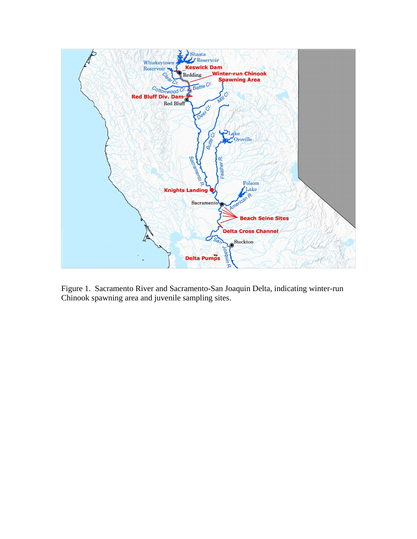

Figure 1. Sacramento River and Sacramento-San Joaquin Delta, indicating winter-run Chinook spawning area and juvenile sampling sites.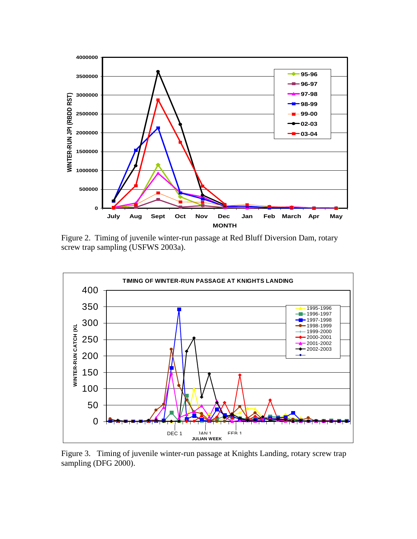

Figure 2. Timing of juvenile winter-run passage at Red Bluff Diversion Dam, rotary screw trap sampling (USFWS 2003a).



Figure 3. Timing of juvenile winter-run passage at Knights Landing, rotary screw trap sampling (DFG 2000).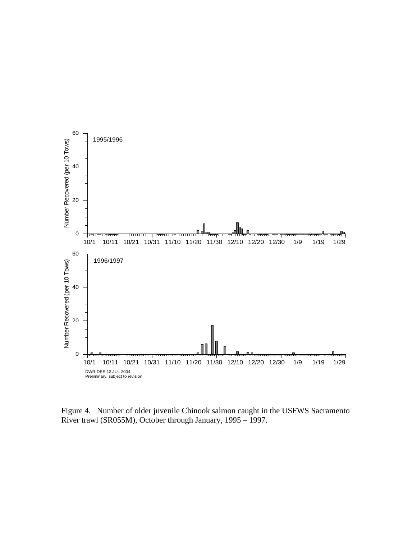

Figure 4. Number of older juvenile Chinook salmon caught in the USFWS Sacramento River trawl (SR055M), October through January, 1995 – 1997.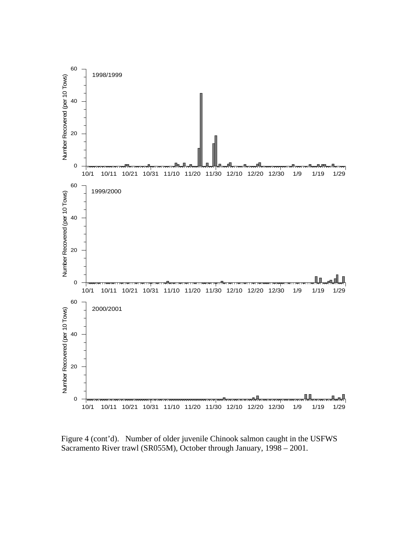

Figure 4 (cont'd). Number of older juvenile Chinook salmon caught in the USFWS Sacramento River trawl (SR055M), October through January, 1998 – 2001.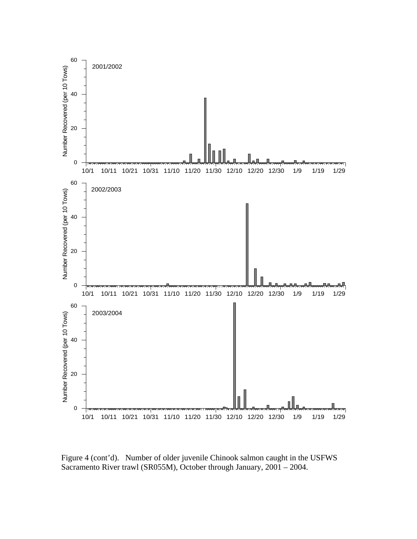

Figure 4 (cont'd). Number of older juvenile Chinook salmon caught in the USFWS Sacramento River trawl (SR055M), October through January, 2001 – 2004.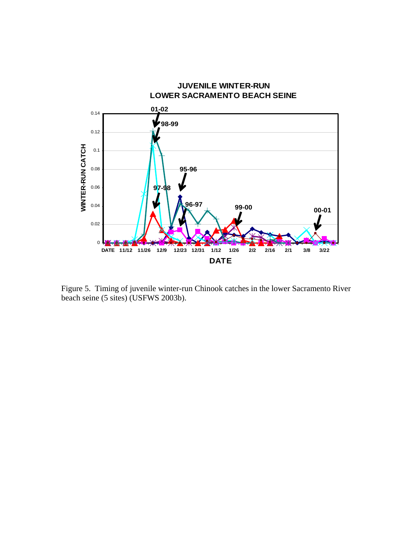

Figure 5. Timing of juvenile winter-run Chinook catches in the lower Sacramento River beach seine (5 sites) (USFWS 2003b).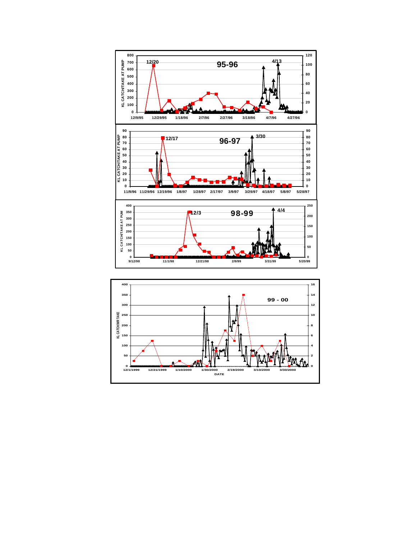

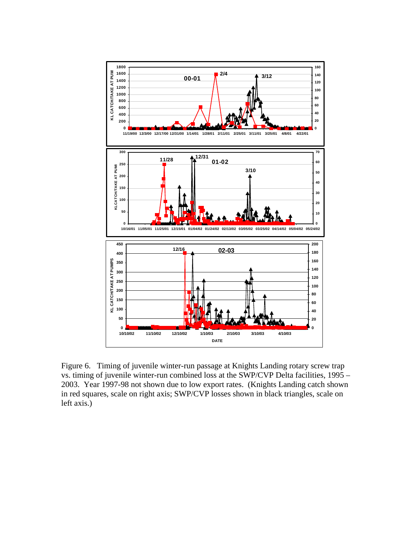

Figure 6. Timing of juvenile winter-run passage at Knights Landing rotary screw trap vs. timing of juvenile winter-run combined loss at the SWP/CVP Delta facilities, 1995 – 2003. Year 1997-98 not shown due to low export rates. (Knights Landing catch shown in red squares, scale on right axis; SWP/CVP losses shown in black triangles, scale on left axis.)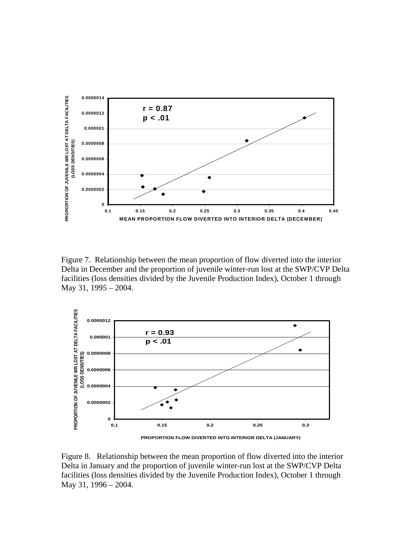

Figure 7. Relationship between the mean proportion of flow diverted into the interior Delta in December and the proportion of juvenile winter-run lost at the SWP/CVP Delta facilities (loss densities divided by the Juvenile Production Index), October 1 through May 31, 1995 – 2004.



**PROPORTION FLOW DIVERTED INTO INTERIOR DELTA (JANUARY)**

Figure 8. Relationship between the mean proportion of flow diverted into the interior Delta in January and the proportion of juvenile winter-run lost at the SWP/CVP Delta facilities (loss densities divided by the Juvenile Production Index), October 1 through May 31, 1996 – 2004.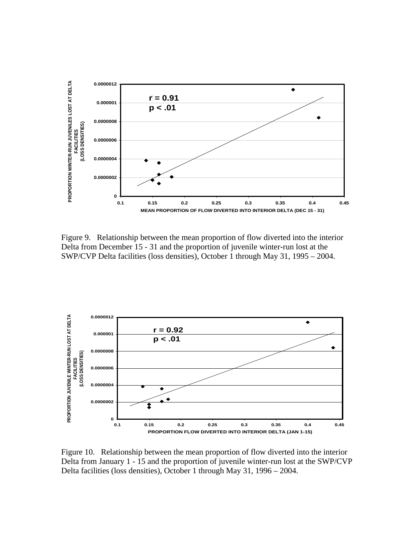

Figure 9. Relationship between the mean proportion of flow diverted into the interior Delta from December 15 - 31 and the proportion of juvenile winter-run lost at the SWP/CVP Delta facilities (loss densities), October 1 through May 31, 1995 – 2004.



Figure 10. Relationship between the mean proportion of flow diverted into the interior Delta from January 1 - 15 and the proportion of juvenile winter-run lost at the SWP/CVP Delta facilities (loss densities), October 1 through May 31, 1996 – 2004.